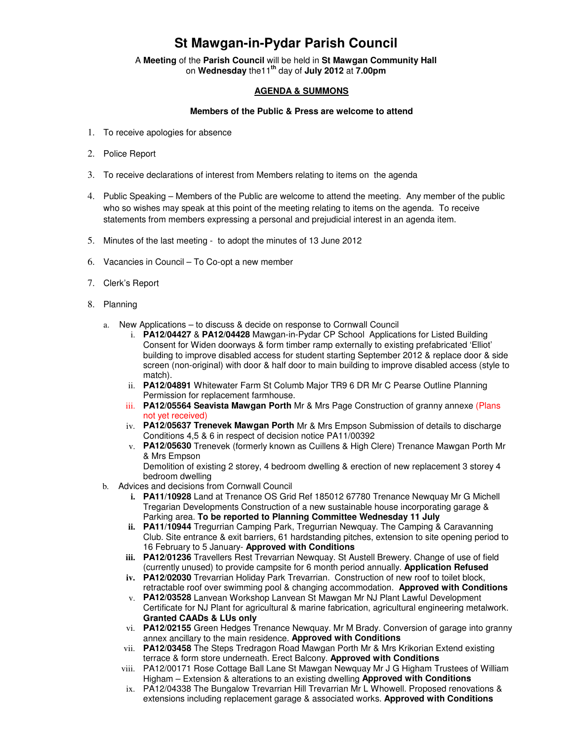## **St Mawgan-in-Pydar Parish Council**

A **Meeting** of the **Parish Council** will be held in **St Mawgan Community Hall** on **Wednesday** the11**th** day of **July 2012** at **7.00pm** 

## **AGENDA & SUMMONS**

## **Members of the Public & Press are welcome to attend**

- 1. To receive apologies for absence
- 2. Police Report
- 3. To receive declarations of interest from Members relating to items on the agenda
- 4. Public Speaking Members of the Public are welcome to attend the meeting. Any member of the public who so wishes may speak at this point of the meeting relating to items on the agenda. To receive statements from members expressing a personal and prejudicial interest in an agenda item.
- 5. Minutes of the last meeting to adopt the minutes of 13 June 2012
- 6. Vacancies in Council To Co-opt a new member
- 7. Clerk's Report
- 8. Planning
	- a. New Applications to discuss & decide on response to Cornwall Council
		- i. **PA12/04427** & **PA12/04428** Mawgan-in-Pydar CP School Applications for Listed Building Consent for Widen doorways & form timber ramp externally to existing prefabricated 'Elliot' building to improve disabled access for student starting September 2012 & replace door & side screen (non-original) with door & half door to main building to improve disabled access (style to match).
		- ii. **PA12/04891** Whitewater Farm St Columb Major TR9 6 DR Mr C Pearse Outline Planning Permission for replacement farmhouse.
		- iii. **PA12/05564 Seavista Mawgan Porth** Mr & Mrs Page Construction of granny annexe (Plans not yet received)
		- iv. **PA12/05637 Trenevek Mawgan Porth** Mr & Mrs Empson Submission of details to discharge Conditions 4,5 & 6 in respect of decision notice PA11/00392
		- v. **PA12/05630** Trenevek (formerly known as Cuillens & High Clere) Trenance Mawgan Porth Mr & Mrs Empson

Demolition of existing 2 storey, 4 bedroom dwelling & erection of new replacement 3 storey 4 bedroom dwelling

- b. Advices and decisions from Cornwall Council
	- **i. PA11/10928** Land at Trenance OS Grid Ref 185012 67780 Trenance Newquay Mr G Michell Tregarian Developments Construction of a new sustainable house incorporating garage & Parking area. **To be reported to Planning Committee Wednesday 11 July**
	- **ii. PA11/10944** Tregurrian Camping Park, Tregurrian Newquay. The Camping & Caravanning Club. Site entrance & exit barriers, 61 hardstanding pitches, extension to site opening period to 16 February to 5 January- **Approved with Conditions**
	- **iii. PA12/01236** Travellers Rest Trevarrian Newquay. St Austell Brewery. Change of use of field (currently unused) to provide campsite for 6 month period annually. **Application Refused**
	- **iv. PA12/02030** Trevarrian Holiday Park Trevarrian. Construction of new roof to toilet block, retractable roof over swimming pool & changing accommodation. **Approved with Conditions**
	- v. **PA12/03528** Lanvean Workshop Lanvean St Mawgan Mr NJ Plant Lawful Development Certificate for NJ Plant for agricultural & marine fabrication, agricultural engineering metalwork. **Granted CAADs & LUs only**
	- vi. **PA12/02155** Green Hedges Trenance Newquay. Mr M Brady. Conversion of garage into granny annex ancillary to the main residence. **Approved with Conditions**
	- vii. **PA12/03458** The Steps Tredragon Road Mawgan Porth Mr & Mrs Krikorian Extend existing terrace & form store underneath. Erect Balcony. **Approved with Conditions**
	- viii. PA12/00171 Rose Cottage Ball Lane St Mawgan Newquay Mr J G Higham Trustees of William Higham – Extension & alterations to an existing dwelling **Approved with Conditions**
	- ix. PA12/04338 The Bungalow Trevarrian Hill Trevarrian Mr L Whowell. Proposed renovations & extensions including replacement garage & associated works. **Approved with Conditions**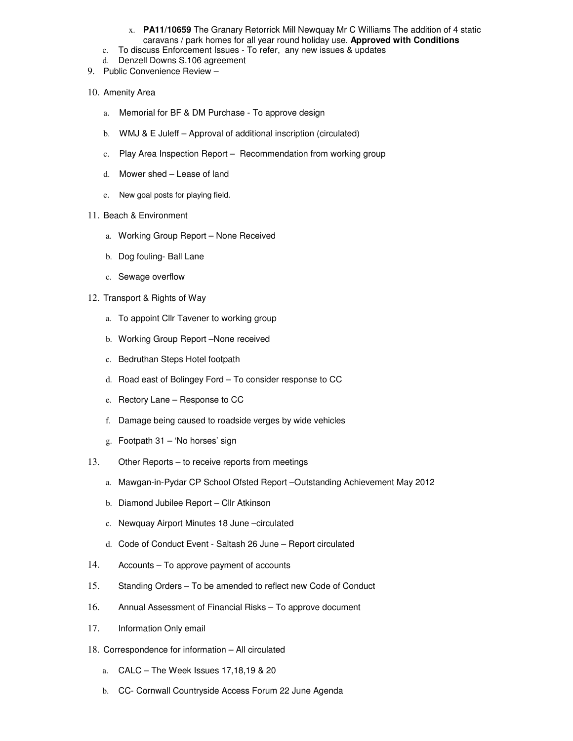- x. **PA11/10659** The Granary Retorrick Mill Newquay Mr C Williams The addition of 4 static caravans / park homes for all year round holiday use. **Approved with Conditions**
- c. To discuss Enforcement Issues To refer, any new issues & updates
- d. Denzell Downs S.106 agreement
- 9. Public Convenience Review –
- 10. Amenity Area
	- a. Memorial for BF & DM Purchase To approve design
	- b. WMJ & E Juleff Approval of additional inscription (circulated)
	- c. Play Area Inspection Report Recommendation from working group
	- d. Mower shed Lease of land
	- e. New goal posts for playing field.
- 11. Beach & Environment
	- a. Working Group Report None Received
	- b. Dog fouling- Ball Lane
	- c. Sewage overflow
- 12. Transport & Rights of Way
	- a. To appoint Cllr Tavener to working group
	- b. Working Group Report –None received
	- c. Bedruthan Steps Hotel footpath
	- d. Road east of Bolingey Ford To consider response to CC
	- e. Rectory Lane Response to CC
	- f. Damage being caused to roadside verges by wide vehicles
	- g. Footpath 31 'No horses' sign
- 13. Other Reports to receive reports from meetings
	- a. Mawgan-in-Pydar CP School Ofsted Report –Outstanding Achievement May 2012
	- b. Diamond Jubilee Report Cllr Atkinson
	- c. Newquay Airport Minutes 18 June –circulated
	- d. Code of Conduct Event Saltash 26 June Report circulated
- 14. Accounts To approve payment of accounts
- 15. Standing Orders To be amended to reflect new Code of Conduct
- 16. Annual Assessment of Financial Risks To approve document
- 17. Information Only email
- 18. Correspondence for information All circulated
	- a. CALC The Week Issues 17,18,19 & 20
	- b. CC- Cornwall Countryside Access Forum 22 June Agenda